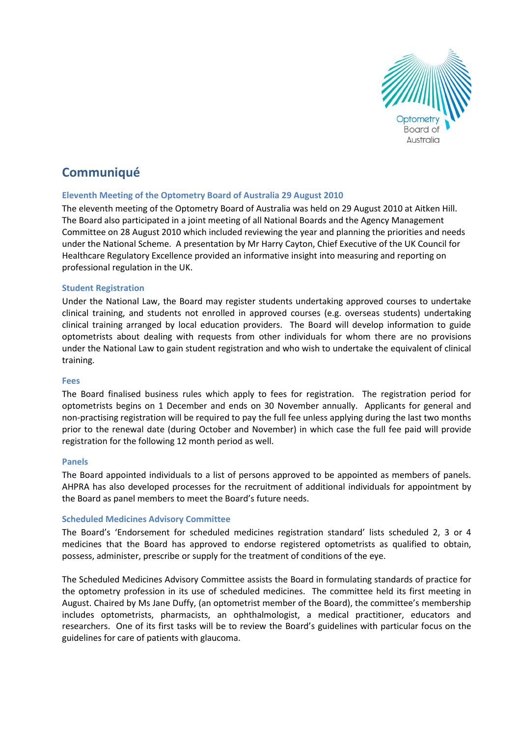

# **Communiqué**

# **Eleventh Meeting of the Optometry Board of Australia 29 August 2010**

The eleventh meeting of the Optometry Board of Australia was held on 29 August 2010 at Aitken Hill. The Board also participated in a joint meeting of all National Boards and the Agency Management Committee on 28 August 2010 which included reviewing the year and planning the priorities and needs under the National Scheme. A presentation by Mr Harry Cayton, Chief Executive of the UK Council for Healthcare Regulatory Excellence provided an informative insight into measuring and reporting on professional regulation in the UK.

# **Student Registration**

Under the National Law, the Board may register students undertaking approved courses to undertake clinical training, and students not enrolled in approved courses (e.g. overseas students) undertaking clinical training arranged by local education providers. The Board will develop information to guide optometrists about dealing with requests from other individuals for whom there are no provisions under the National Law to gain student registration and who wish to undertake the equivalent of clinical training.

## **Fees**

The Board finalised business rules which apply to fees for registration. The registration period for optometrists begins on 1 December and ends on 30 November annually. Applicants for general and non-practising registration will be required to pay the full fee unless applying during the last two months prior to the renewal date (during October and November) in which case the full fee paid will provide registration for the following 12 month period as well.

## **Panels**

The Board appointed individuals to a list of persons approved to be appointed as members of panels. AHPRA has also developed processes for the recruitment of additional individuals for appointment by the Board as panel members to meet the Board's future needs.

## **Scheduled Medicines Advisory Committee**

The Board's 'Endorsement for scheduled medicines registration standard' lists scheduled 2, 3 or 4 medicines that the Board has approved to endorse registered optometrists as qualified to obtain, possess, administer, prescribe or supply for the treatment of conditions of the eye.

The Scheduled Medicines Advisory Committee assists the Board in formulating standards of practice for the optometry profession in its use of scheduled medicines. The committee held its first meeting in August. Chaired by Ms Jane Duffy, (an optometrist member of the Board), the committee's membership includes optometrists, pharmacists, an ophthalmologist, a medical practitioner, educators and researchers. One of its first tasks will be to review the Board's guidelines with particular focus on the guidelines for care of patients with glaucoma.